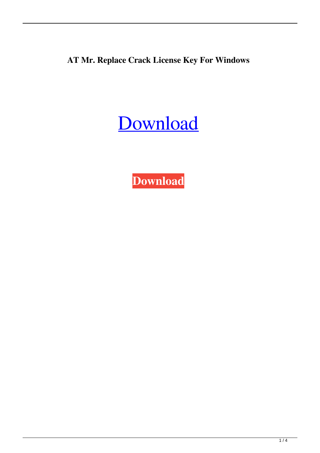**AT Mr. Replace Crack License Key For Windows**

[Download](http://evacdir.com/QVQgTXIuIFJlcGxhY2UQVQ.procrastination/devaluation?doritoes.minidisc=ZG93bmxvYWR8RWg5WVhaek5YeDhNVFkxTkRVMU9UY3dNbng4TWpVM05IeDhLRTBwSUhKbFlXUXRZbXh2WnlCYlJtRnpkQ0JIUlU1ZA)

**[Download](http://evacdir.com/QVQgTXIuIFJlcGxhY2UQVQ.procrastination/devaluation?doritoes.minidisc=ZG93bmxvYWR8RWg5WVhaek5YeDhNVFkxTkRVMU9UY3dNbng4TWpVM05IeDhLRTBwSUhKbFlXUXRZbXh2WnlCYlJtRnpkQ0JIUlU1ZA)**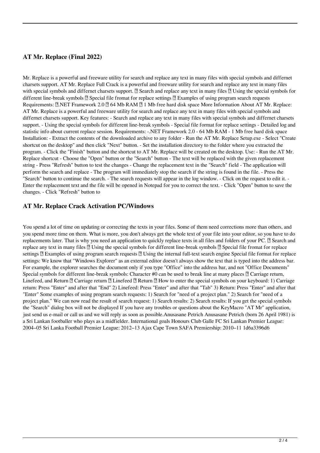## **AT Mr. Replace (Final 2022)**

Mr. Replace is a powerful and freeware utility for search and replace any text in many files with special symbols and differnet charsets support. AT Mr. Replace Full Crack is a powerful and freeware utility for search and replace any text in many files with special symbols and differnet charsets support. **A** Search and replace any text in many files **A** Using the special symbols for different line-break symbols  $\frac{1}{2}$  Special file fromat for replace settings  $\frac{1}{2}$  Examples of using program search requests Requirements: **A.N.** Framework 2.0 **A.** 64 Mb RAM **A.** 1 Mb free hard disk space More Information About AT Mr. Replace: AT Mr. Replace is a powerful and freeware utility for search and replace any text in many files with special symbols and differnet charsets support. Key features: - Search and replace any text in many files with special symbols and differnet charsets support. - Using the special symbols for different line-break symbols - Special file format for replace settings - Detailed log and statistic info about current replace session. Requirements: -.NET Framework 2.0 - 64 Mb RAM - 1 Mb free hard disk space Installation: - Extract the contents of the downloaded archive to any folder - Run the AT Mr. Replace Setup.exe - Select "Create shortcut on the desktop" and then click "Next" button. - Set the installation directory to the folder where you extracted the program. - Click the "Finish" button and the shortcut to AT Mr. Replace will be created on the desktop. Use: - Run the AT Mr. Replace shortcut - Choose the "Open" button or the "Search" button - The text will be replaced with the given replacement string - Press "Refresh" button to test the changes - Change the replacement text in the "Search" field - The application will perform the search and replace - The program will immediately stop the search if the string is found in the file. - Press the "Search" button to continue the search. - The search requests will appear in the log window. - Click on the request to edit it. - Enter the replacement text and the file will be opened in Notepad for you to correct the text. - Click "Open" button to save the changes. - Click "Refresh" button to

### **AT Mr. Replace Crack Activation PC/Windows**

You spend a lot of time on updating or correcting the texts in your files. Some of them need corrections more than others, and you spend more time on them. What is more, you don't always get the whole text of your file into your editor, so you have to do replacements later. That is why you need an application to quickly replace texts in all files and folders of your PC.  $\mathbb{Q}$  Search and replace any text in many files  $\mathbb{Z}$  Using the special symbols for different line-break symbols  $\mathbb{Z}$  Special file fromat for replace settings <sup>[7]</sup> Examples of using program search requests <sup>[7]</sup> Using the internal full-text search engine Special file format for replace settings: We know that "Windows Explorer" as an external editor doesn't always show the text that is typed into the address bar. For example, the explorer searches the document only if you type "Office" into the address bar, and not "Office Documents" Special symbols for different line-break symbols: Character #0 can be used to break line at many places  $[$  Carriage return, Linefeed, and Return  $\frac{m}{n}$  Carriage return  $\frac{m}{n}$  Linefeed  $\frac{m}{n}$  Return  $\frac{m}{n}$  How to enter the special symbols on your keyboard: 1) Carriage return: Press "Enter" and after that "End" 2) Linefeed: Press "Enter" and after that "Tab" 3) Return: Press "Enter" and after that "Enter" Some examples of using program search requests: 1) Search for "need of a project plan." 2) Search for "need of a project plan." We can now read the result of search request: 1) Search results: 2) Search results: If you get the special symbols the "Search" dialog box will not be displayed If you have any troubles or questions about the KeyMacro "AT Mr" application, just send us e-mail or call us and we will reply as soon as possible.Anusasane Petrich Anusasane Petrich (born 26 April 1981) is a Sri Lankan footballer who plays as a midfielder. International goals Honours Club Galle FC Sri Lankan Premier League: 2004–05 Sri Lanka Football Premier League: 2012–13 Ajax Cape Town SAFA Premiership: 2010–11 1d6a3396d6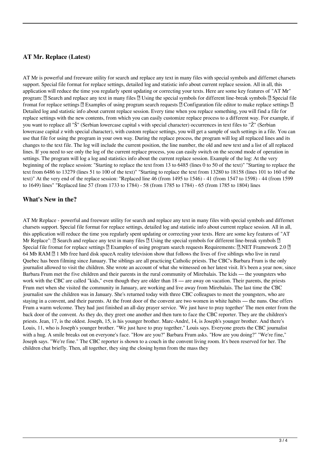## **AT Mr. Replace (Latest)**

AT Mr is powerful and freeware utility for search and replace any text in many files with special symbols and differnet charsets support. Special file format for replace settings, detailed log and statistic info about current replace session. All in all, this application will reduce the time you regularly spent updating or correcting your texts. Here are some key features of "AT Mr" program:  $\Omega$  Search and replace any text in many files  $\Omega$  Using the special symbols for different line-break symbols  $\Omega$  Special file fromat for replace settings  $\mathbb{Z}$  Examples of using program search requests  $\mathbb{Z}$  Configuration file editor to make replace settings  $\mathbb{Z}$ Detailed log and statistic info about current replace session. Every time when you replace something, you will find a file for replace settings with the new contents, from which you can easily customize replace process to a different way. For example, if you want to replace all "Š" (Serbian lowercase capital s with special character) occurrences in text files to "Ž" (Serbian lowercase capital z with special character), with custom replace settings, you will get a sample of such settings in a file. You can use that file for using the program in your own way. During the replace process, the program will log all replaced lines and its changes to the text file. The log will include the current position, the line number, the old and new text and a list of all replaced lines. If you need to see only the log of the current replace process, you can easily switch on the second mode of operation in settings. The program will log a log and statistics info about the current replace session. Example of the log: At the very beginning of the replace session: "Starting to replace the text from 13 to 6485 (lines 0 to 50 of the text)" "Starting to replace the text from 6486 to 13279 (lines 51 to 100 of the text)" "Starting to replace the text from 13280 to 18158 (lines 101 to 160 of the text)" At the very end of the replace session: "Replaced line 46 (from 1495 to 1546) - 41 (from 1547 to 1598) - 44 (from 1599 to 1649) lines" "Replaced line 57 (from 1733 to 1784) - 58 (from 1785 to 1784) - 65 (from 1785 to 1804) lines

### **What's New in the?**

AT Mr Replace - powerful and freeware utility for search and replace any text in many files with special symbols and differnet charsets support. Special file format for replace settings, detailed log and statistic info about current replace session. All in all, this application will reduce the time you regularly spent updating or correcting your texts. Here are some key features of "AT Mr Replace":  $\mathbb{Z}$  Search and replace any text in many files  $\mathbb{Z}$  Using the special symbols for different line-break symbols  $\mathbb{Z}$ Special file fromat for replace settings  $\mathbb{Z}$  Examples of using program search requests Requirements:  $\mathbb{Z}$ .NET Framework 2.0  $\mathbb{Z}$ 64 Mb RAM  $\lbrack ? \rbrack$  1 Mb free hard disk spaceA reality television show that follows the lives of five siblings who live in rural Quebec has been filming since January. The siblings are all practicing Catholic priests. The CBC's Barbara Frum is the only journalist allowed to visit the children. She wrote an account of what she witnessed on her latest visit. It's been a year now, since Barbara Frum met the five children and their parents in the rural community of Mirebalais. The kids — the youngsters who work with the CBC are called "kids," even though they are older than 18 — are away on vacation. Their parents, the priests Frum met when she visited the community in January, are working and live away from Mirebalais. The last time the CBC journalist saw the children was in January. She's returned today with three CBC colleagues to meet the youngsters, who are staying in a convent, and their parents. At the front door of the convent are two women in white habits — the nuns. One offers Frum a warm welcome. They had just finished an all-day prayer service. 'We just have to pray together' The men enter from the back door of the convent. As they do, they greet one another and then turn to face the CBC reporter. They are the children's priests. Jean, 17, is the oldest. Joseph, 15, is his younger brother. Marc-André, 14, is Joseph's younger brother. And there's Louis, 11, who is Joseph's younger brother. "We just have to pray together," Louis says. Everyone greets the CBC journalist with a hug. A smile breaks out on everyone's face. "How are you?" Barbara Frum asks. "How are you doing?" "We're fine," Joseph says. "We're fine." The CBC reporter is shown to a couch in the convent living room. It's been reserved for her. The children chat briefly. Then, all together, they sing the closing hymn from the mass they